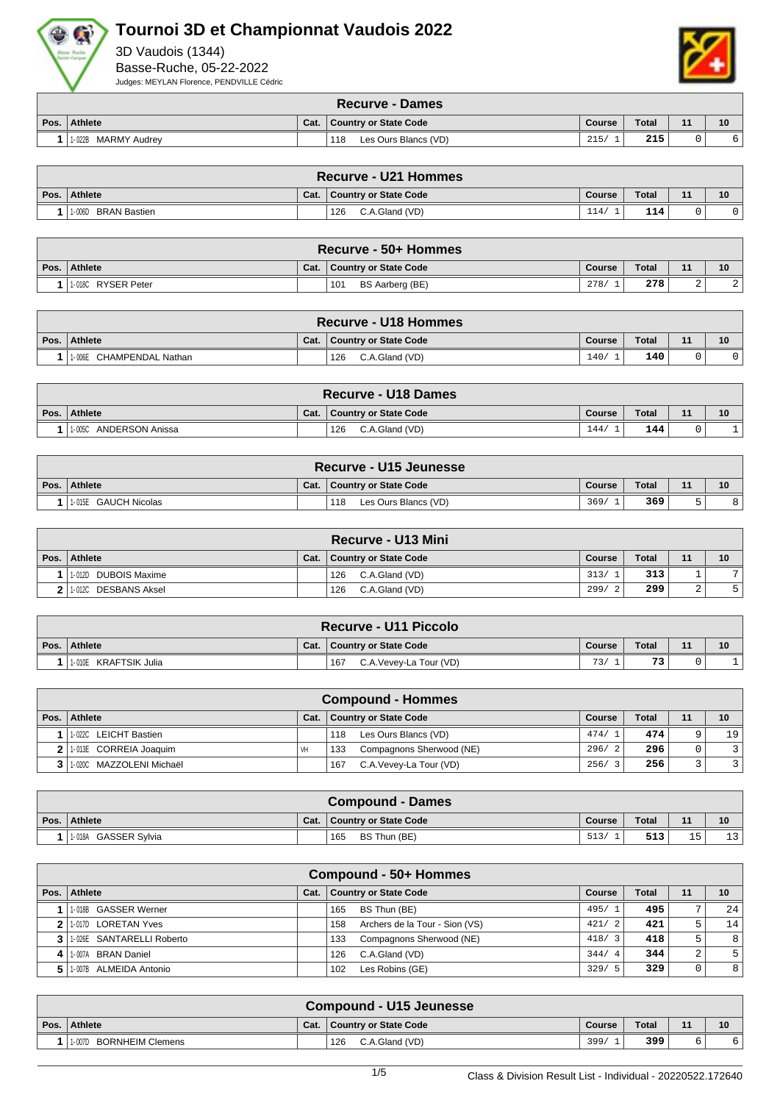



|      | <b>Recurve - Dames</b> |      |                              |        |       |    |    |  |  |  |  |
|------|------------------------|------|------------------------------|--------|-------|----|----|--|--|--|--|
| Pos. | Athlete                | Cat. | <b>Country or State Code</b> | Course | Total | 44 | 10 |  |  |  |  |
|      | MARMY Audrev<br>1-022B |      | 118<br>Les Ours Blancs (VD)  | 215    | 215   |    |    |  |  |  |  |

| Recurve - U21 Hommes |      |                       |        |       |    |    |  |  |  |  |
|----------------------|------|-----------------------|--------|-------|----|----|--|--|--|--|
| Pos. Athlete         | Cat. | Country or State Code | Course | Total | 11 | 10 |  |  |  |  |
| 1-006D BRAN Bastien  |      | C.A.Gland (VD)<br>126 | 114/   | 114   |    |    |  |  |  |  |

| <b>Recurve - 50+ Hommes</b> |      |                              |        |              |    |    |  |  |  |  |
|-----------------------------|------|------------------------------|--------|--------------|----|----|--|--|--|--|
| Pos. Athlete                | Cat. | <b>Country or State Code</b> | Course | <b>Total</b> | 11 | 10 |  |  |  |  |
| 1-018C RYSER Peter          |      | 101<br>BS Aarberg (BE)       | 278/   | 278          |    |    |  |  |  |  |

|      | Recurve - U18 Hommes          |      |                       |        |       |    |    |  |  |  |  |
|------|-------------------------------|------|-----------------------|--------|-------|----|----|--|--|--|--|
| Pos. | Athlete                       | Cat. | Country or State Code | Course | Total | 44 | 10 |  |  |  |  |
|      | : CHAMPENDAL Nathan<br>1-006E |      | C.A.Gland (VD)<br>126 | 140    | 140   |    |    |  |  |  |  |

|      | Recurve - U18 Dames       |      |                       |        |       |    |    |  |  |  |  |
|------|---------------------------|------|-----------------------|--------|-------|----|----|--|--|--|--|
| Pos. | Athlete                   | Cat. | Country or State Code | Course | Total | 11 | 10 |  |  |  |  |
|      | ANDERSON Anissa<br>1-005C |      | 126<br>C.A.Gland (VD) | 144.   | 144   |    |    |  |  |  |  |

| Recurve - U15 Jeunesse |      |                              |        |              |    |    |  |  |  |  |
|------------------------|------|------------------------------|--------|--------------|----|----|--|--|--|--|
| Pos. Athlete           | Cat. | <b>Country or State Code</b> | Course | <b>Total</b> | 11 | 10 |  |  |  |  |
| 1-015E GAUCH Nicolas   |      | 118<br>Les Ours Blancs (VD)  | 369/   | 369          | -  |    |  |  |  |  |

|      | <b>Recurve - U13 Mini</b> |      |                              |            |              |    |    |  |  |  |  |
|------|---------------------------|------|------------------------------|------------|--------------|----|----|--|--|--|--|
| Pos. | Athlete                   | Cat. | <b>Country or State Code</b> | Course     | <b>Total</b> | 11 | 10 |  |  |  |  |
|      | 1-012D DUBOIS Maxime      |      | C.A.Gland (VD)<br>126        | 313/       | 313          |    | 71 |  |  |  |  |
|      | 1-012C DESBANS Aksel      |      | 126<br>C.A.Gland (VD)        | 299/<br>-2 | 299          | ▵  |    |  |  |  |  |

| Recurve - U11 Piccolo |      |                               |        |              |    |    |  |  |  |  |
|-----------------------|------|-------------------------------|--------|--------------|----|----|--|--|--|--|
| Pos. Athlete          | Cat. | <b>Country or State Code</b>  | Course | <b>Total</b> | 11 | 10 |  |  |  |  |
| 1-010E KRAFTSIK Julia |      | C.A.Vevey-La Tour (VD)<br>167 | 73/    | 73           |    |    |  |  |  |  |

|      | <b>Compound - Hommes</b> |      |                                 |        |              |    |                |  |  |  |  |  |
|------|--------------------------|------|---------------------------------|--------|--------------|----|----------------|--|--|--|--|--|
| Pos. | Athlete                  | Cat. | <b>Country or State Code</b>    | Course | <b>Total</b> | 11 | 10             |  |  |  |  |  |
|      | 1-022C LEICHT Bastien    |      | Les Ours Blancs (VD)<br>118     | 474/1  | 474          | Q  | 19             |  |  |  |  |  |
|      | 2 1.013E CORREIA Joaquim | VH   | Compagnons Sherwood (NE)<br>133 | 296/2  | 296          |    | $\overline{3}$ |  |  |  |  |  |
|      | 1.020C MAZZOLENI Michaël |      | 167<br>C.A.Vevey-La Tour (VD)   | 256/3  | 256          |    | $\overline{3}$ |  |  |  |  |  |

| <b>Compound - Dames</b> |      |                              |               |       |     |       |  |  |  |  |
|-------------------------|------|------------------------------|---------------|-------|-----|-------|--|--|--|--|
| Pos. Athlete            | Cat. | <b>Country or State Code</b> | <b>Course</b> | Total | 11  | 10    |  |  |  |  |
| 1-018A GASSER Sylvia    |      | 165<br>BS Thun (BE)          | 513/          | 513   | $-$ | 1 2 I |  |  |  |  |

|   | Compound - 50+ Hommes       |      |                                       |        |              |    |                |  |  |  |  |  |
|---|-----------------------------|------|---------------------------------------|--------|--------------|----|----------------|--|--|--|--|--|
|   | Pos.   Athlete              | Cat. | <b>Country or State Code</b>          | Course | <b>Total</b> | 11 | 10             |  |  |  |  |  |
|   | 1-018B GASSER Werner        |      | 165<br>BS Thun (BE)                   | 495/1  | 495          | ∍  | 24             |  |  |  |  |  |
|   | 2 1070 LORETAN Yves         |      | Archers de la Tour - Sion (VS)<br>158 | 421/2  | 421          |    | 14             |  |  |  |  |  |
|   | 3 1.026E SANTARELLI Roberto |      | Compagnons Sherwood (NE)<br>133       | 418/3  | 418          |    | 8              |  |  |  |  |  |
| 4 | 1-007A BRAN Daniel          |      | C.A.Gland (VD)<br>126                 | 344/4  | 344          | 2  | 5 <sup>1</sup> |  |  |  |  |  |
|   | 1-007B ALMEIDA Antonio      |      | Les Robins (GE)<br>102                | 329/5  | 329          | 0  | 8              |  |  |  |  |  |

| <b>Compound - U15 Jeunesse</b>    |      |                       |        |       |    |    |  |  |  |
|-----------------------------------|------|-----------------------|--------|-------|----|----|--|--|--|
| Pos. Athlete                      | Cat. | Country or State Code | Course | Total | 11 | 10 |  |  |  |
| <b>BORNHEIM Clemens</b><br>1-007D |      | 126<br>C.A.Gland (VD) | 399/   | 399   |    |    |  |  |  |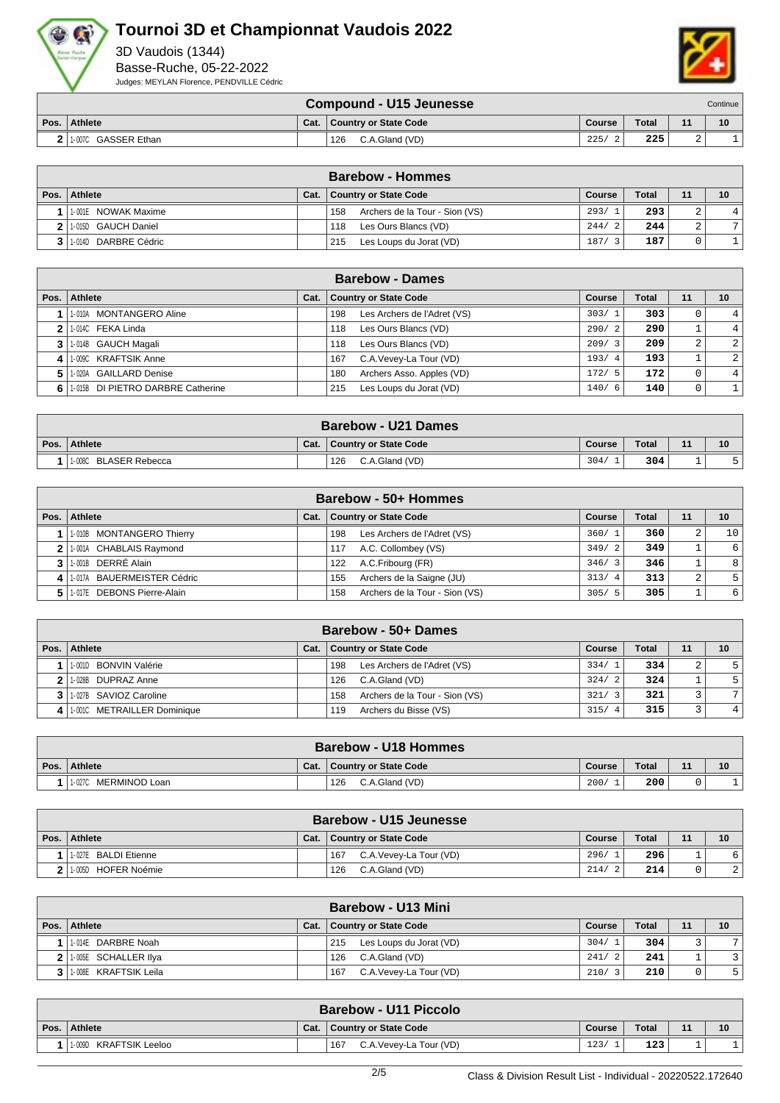



|                     |      | <b>Compound - U15 Jeunesse</b> |        |              |   | Continue |
|---------------------|------|--------------------------------|--------|--------------|---|----------|
| Pos. Athlete        | Cat. | Country or State Code          | Course | <b>Total</b> |   | 10       |
| 1-007C GASSER Ethan |      | C.A.Gland (VD)<br>126          | 225/   | 225          | ▵ |          |

|                                   |      | <b>Barebow - Hommes</b>               |        |              |        |                |
|-----------------------------------|------|---------------------------------------|--------|--------------|--------|----------------|
| Pos.   Athlete                    | Cat. | <b>Country or State Code</b>          | Course | <b>Total</b> | 11     | 10             |
| 1-001E NOWAK Maxime               |      | Archers de la Tour - Sion (VS)<br>158 | 293/1  | 293          | $\sim$ | 4 <sup>1</sup> |
| 2 1.015D GAUCH Daniel             |      | Les Ours Blancs (VD)<br>118           | 244/2  | 244          | $\sim$ | 7              |
| <sup>1</sup> 1-014D DARBRE Cédric |      | Les Loups du Jorat (VD)<br>215        | 187/   | 187          |        |                |

|    | <b>Barebow - Dames</b>            |      |                                    |               |              |          |                |  |  |  |  |  |
|----|-----------------------------------|------|------------------------------------|---------------|--------------|----------|----------------|--|--|--|--|--|
|    | Pos. Athlete                      | Cat. | <b>Country or State Code</b>       | <b>Course</b> | <b>Total</b> | 11       | 10             |  |  |  |  |  |
|    | 1-010A MONTANGERO Aline           |      | Les Archers de l'Adret (VS)<br>198 | 303/1         | 303          | 0        | 4 <sup>1</sup> |  |  |  |  |  |
|    | 1-014C FEKA Linda                 |      | Les Ours Blancs (VD)<br>118        | 290/2         | 290          |          | 4 <sup>1</sup> |  |  |  |  |  |
|    | 1-014B GAUCH Magali               |      | Les Ours Blancs (VD)<br>118        | 209/3         | 209          | 2        | $\overline{2}$ |  |  |  |  |  |
|    | 1-009C KRAFTSIK Anne              |      | C.A.Vevey-La Tour (VD)<br>167      | 193/4         | 193          |          | $\overline{2}$ |  |  |  |  |  |
| 51 | 1-020A GAILLARD Denise            |      | Archers Asso. Apples (VD)<br>180   | 172/5         | 172          | $\Omega$ | $\overline{4}$ |  |  |  |  |  |
| 61 | 1-015B DI PIETRO DARBRE Catherine |      | Les Loups du Jorat (VD)<br>215     | 140/6         | 140          | 0        |                |  |  |  |  |  |

| <b>Barebow - U21 Dames</b> |      |                              |        |       |    |    |  |  |  |
|----------------------------|------|------------------------------|--------|-------|----|----|--|--|--|
| Pos. Athlete               | Cat. | <b>Country or State Code</b> | Course | Total | 11 | 10 |  |  |  |
| 11-008C BLASER Rebecca     |      | C.A.Gland (VD)<br>126        | 304/   | 304   | -  |    |  |  |  |

|                | Barebow - 50+ Hommes       |      |                                       |        |              |    |    |  |  |  |  |
|----------------|----------------------------|------|---------------------------------------|--------|--------------|----|----|--|--|--|--|
| Pos. $\vert$   | Athlete                    | Cat. | <b>Country or State Code</b>          | Course | <b>Total</b> | 11 | 10 |  |  |  |  |
|                | 1-010B MONTANGERO Thierry  |      | Les Archers de l'Adret (VS)<br>198    | 360/1  | 360          | 2  | 10 |  |  |  |  |
| 2 <sup>1</sup> | 1.001A CHABLAIS Ravmond    |      | A.C. Collombey (VS)<br>117            | 349/2  | 349          |    | 6  |  |  |  |  |
| 3 <sup>1</sup> | 11-001B DERRÉ Alain        |      | A.C.Fribourg (FR)<br>122              | 346/3  | 346          |    | 8  |  |  |  |  |
| $\vert$        | 1-017A BAUERMEISTER Cédric |      | Archers de la Saigne (JU)<br>155      | 313/4  | 313          | 2  |    |  |  |  |  |
| 51             | 1-017E DEBONS Pierre-Alain |      | Archers de la Tour - Sion (VS)<br>158 | 305/5  | 305          |    | 6  |  |  |  |  |

|              | Barebow - 50+ Dames         |      |                                       |            |              |    |                |  |  |  |  |
|--------------|-----------------------------|------|---------------------------------------|------------|--------------|----|----------------|--|--|--|--|
| Pos. $\vert$ | Athlete                     | Cat. | <b>Country or State Code</b>          | Course     | <b>Total</b> | 11 | 10             |  |  |  |  |
|              | 1-001D BONVIN Valérie       |      | 198<br>Les Archers de l'Adret (VS)    | 334/1      | 334          | ∠  | 5 <sup>1</sup> |  |  |  |  |
| $\mathbf{2}$ | 1-028B DUPRAZ Anne          |      | C.A.Gland (VD)<br>126                 | 324/2      | 324          |    |                |  |  |  |  |
|              | 3 1.027B SAVIOZ Caroline    |      | Archers de la Tour - Sion (VS)<br>158 | 321/       | 321          |    | 7              |  |  |  |  |
| $\mathbf{A}$ | 1-001C METRAILLER Dominique |      | Archers du Bisse (VS)<br>119          | 315/<br>-4 | 315          |    | 4 <sup>1</sup> |  |  |  |  |

| <b>Barebow - U18 Hommes</b> |      |                       |        |       |       |    |  |  |  |
|-----------------------------|------|-----------------------|--------|-------|-------|----|--|--|--|
| Pos. Athlete                | Cat. | Country or State Code | Course | Total | $-11$ | 10 |  |  |  |
| MERMINOD Loan<br>$1 - 027C$ |      | 126<br>C.A.Gland (VD) | 200/   | 200   |       |    |  |  |  |

| <b>Barebow - U15 Jeunesse</b> |      |                                |        |              |    |                |  |  |  |  |
|-------------------------------|------|--------------------------------|--------|--------------|----|----------------|--|--|--|--|
| Pos. Athlete                  | Cat. | Country or State Code          | Course | <b>Total</b> | 11 | 10             |  |  |  |  |
| 1-027E BALDI Etienne          |      | C.A. Vevey-La Tour (VD)<br>167 | 296/   | 296          |    |                |  |  |  |  |
| l 1-005D HOFER Noémie         |      | C.A.Gland (VD)<br>126          | 214/   | 214          |    | $\overline{2}$ |  |  |  |  |

|                       |      | <b>Barebow - U13 Mini</b>      |             |       |    |    |
|-----------------------|------|--------------------------------|-------------|-------|----|----|
| Pos.   Athlete        | Cat. | <b>Country or State Code</b>   | Course      | Total | 11 | 10 |
| 1-014E DARBRE Noah    |      | Les Loups du Jorat (VD)<br>215 | 304/        | 304   |    |    |
| 1.005E SCHALLERIIya   |      | C.A.Gland (VD)<br>126          | 241/<br>- 2 | 241   |    |    |
| 1-008E KRAFTSIK Leila |      | C.A. Vevey-La Tour (VD)<br>167 | 210/3       | 210   |    | 5  |

|      | <b>Barebow - U11 Piccolo</b> |      |                                |        |              |    |    |  |  |  |
|------|------------------------------|------|--------------------------------|--------|--------------|----|----|--|--|--|
| Pos. | <b>Athlete</b>               | Cat. | Country or State Code          | Course | <b>Total</b> | 11 | 10 |  |  |  |
|      | KRAFTSIK Leeloo<br>1-009D    |      | 167<br>C.A. Vevey-La Tour (VD) | 123/   | 123          |    |    |  |  |  |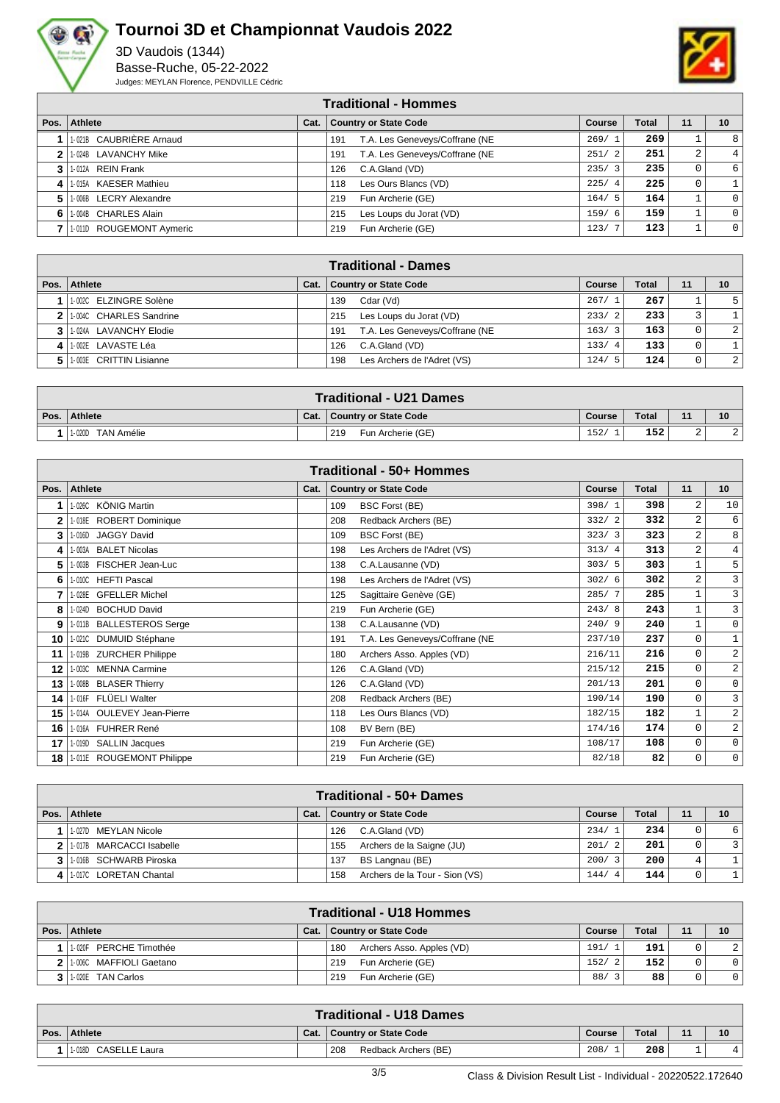



|      | <b>Traditional - Hommes</b> |      |                                       |             |              |    |          |  |  |  |  |
|------|-----------------------------|------|---------------------------------------|-------------|--------------|----|----------|--|--|--|--|
| Pos. | Athlete                     | Cat. | <b>Country or State Code</b>          | Course      | <b>Total</b> | 11 | 10       |  |  |  |  |
|      | 1-021B CAUBRIÈRE Arnaud     |      | T.A. Les Geneveys/Coffrane (NE<br>191 | 269/1       | 269          |    | 8        |  |  |  |  |
|      | 1-024B LAVANCHY Mike        |      | T.A. Les Geneveys/Coffrane (NE<br>191 | 251/2       | 251          | 2  | 4        |  |  |  |  |
| 3    | 1-012A REIN Frank           |      | C.A.Gland (VD)<br>126                 | 235/3       | 235          | 0  | 6        |  |  |  |  |
| 4    | 1-015A KAESER Mathieu       |      | Les Ours Blancs (VD)<br>118           | 225/4       | 225          | 0  |          |  |  |  |  |
| 5.   | 1-006B LECRY Alexandre      |      | Fun Archerie (GE)<br>219              | 164/5       | 164          |    | $\Omega$ |  |  |  |  |
| 6    | 1-004B CHARLES Alain        |      | Les Loups du Jorat (VD)<br>215        | 159/<br>- 6 | 159          |    |          |  |  |  |  |
|      | 1-011D ROUGEMONT Aymeric    |      | Fun Archerie (GE)<br>219              | 123/7       | 123          |    | $\Omega$ |  |  |  |  |

|                           |      | <b>Traditional - Dames</b>            |        |              |    |    |
|---------------------------|------|---------------------------------------|--------|--------------|----|----|
| Pos.   Athlete            | Cat. | <b>Country or State Code</b>          | Course | <b>Total</b> | 11 | 10 |
| 1 1:002C ELZINGRE Solène  |      | Cdar (Vd)<br>139                      | 267/1  | 267          |    |    |
| 2 1:004C CHARLES Sandrine |      | 215<br>Les Loups du Jorat (VD)        | 233/2  | 233          |    |    |
| 3 1.024A LAVANCHY Elodie  |      | T.A. Les Geneveys/Coffrane (NE<br>191 | 163/3  | 163          |    | 2  |
| 4   1-002E LAVASTE Léa    |      | C.A.Gland (VD)<br>126                 | 133/4  | 133          |    |    |
| 5 1003E CRITTIN Lisianne  |      | Les Archers de l'Adret (VS)<br>198    | 124/5  | 124          |    | 2  |

| <b>Traditional - U21 Dames</b> |      |                          |               |              |             |           |  |  |  |
|--------------------------------|------|--------------------------|---------------|--------------|-------------|-----------|--|--|--|
| Pos. Athlete                   | Cat. | Country or State Code    | <b>Course</b> | <b>Total</b> | $-11$       | 10        |  |  |  |
| TAN Amélie<br>1-020D           |      | 219<br>Fun Archerie (GE) | 152           | 152          | $\sim$<br>∼ | <u> 4</u> |  |  |  |

| Traditional - 50+ Hommes |                            |      |                                       |               |       |                |                |  |  |  |  |
|--------------------------|----------------------------|------|---------------------------------------|---------------|-------|----------------|----------------|--|--|--|--|
| Pos.                     | <b>Athlete</b>             | Cat. | <b>Country or State Code</b>          | <b>Course</b> | Total | 11             | 10             |  |  |  |  |
|                          | 1-026C KÖNIG Martin        |      | 109<br><b>BSC Forst (BE)</b>          | 398/1         | 398   | 2              | 10             |  |  |  |  |
| 2                        | 1-018E ROBERT Dominique    |      | Redback Archers (BE)<br>208           | 332/2         | 332   | 2              | 6              |  |  |  |  |
| 3                        | 1-016D JAGGY David         |      | 109<br><b>BSC Forst (BE)</b>          | 323/3         | 323   | 2              | 8              |  |  |  |  |
| 4                        | 1-003A BALET Nicolas       |      | Les Archers de l'Adret (VS)<br>198    | 313/4         | 313   | 2              | $\overline{4}$ |  |  |  |  |
| 5                        | 1-003B FISCHER Jean-Luc    |      | 138<br>C.A.Lausanne (VD)              | 303/5         | 303   | $1\,$          | 5              |  |  |  |  |
| 6                        | 1-010C HEFTI Pascal        |      | 198<br>Les Archers de l'Adret (VS)    | 302/6         | 302   | $\overline{2}$ | 3              |  |  |  |  |
|                          | 1-028E GFELLER Michel      |      | 125<br>Sagittaire Genève (GE)         | 285/7         | 285   | 1              | 3              |  |  |  |  |
| 8                        | 1-024D BOCHUD David        |      | 219<br>Fun Archerie (GE)              | 243/8         | 243   | $\mathbf 1$    | $\mathbf{3}$   |  |  |  |  |
| 9                        | 1-011B BALLESTEROS Serge   |      | 138<br>C.A.Lausanne (VD)              | 240/9         | 240   | $1\,$          | $\mathbf 0$    |  |  |  |  |
| 10                       | 1-021C DUMUID Stéphane     |      | T.A. Les Geneveys/Coffrane (NE<br>191 | 237/10        | 237   | 0              | $\mathbf{1}$   |  |  |  |  |
| 11                       | 1-019B ZURCHER Philippe    |      | 180<br>Archers Asso. Apples (VD)      | 216/11        | 216   | 0              | $\overline{a}$ |  |  |  |  |
| 12                       | 1-003C MENNA Carmine       |      | C.A.Gland (VD)<br>126                 | 215/12        | 215   | $\mathbf 0$    | $\overline{a}$ |  |  |  |  |
| 13                       | 1-008B BLASER Thierry      |      | C.A.Gland (VD)<br>126                 | 201/13        | 201   | $\mathbf 0$    | $\mathbf 0$    |  |  |  |  |
| 14                       | 1-016F FLÜELI Walter       |      | 208<br>Redback Archers (BE)           | 190/14        | 190   | 0              | 3              |  |  |  |  |
| 15                       | 1-014A OULEVEY Jean-Pierre |      | Les Ours Blancs (VD)<br>118           | 182/15        | 182   | 1              | $\overline{a}$ |  |  |  |  |
| 16                       | 1-016A FUHRER René         |      | BV Bern (BE)<br>108                   | 174/16        | 174   | $\mathbf 0$    | $\overline{a}$ |  |  |  |  |
| 17                       | 1-019D SALLIN Jacques      |      | 219<br>Fun Archerie (GE)              | 108/17        | 108   | $\mathbf 0$    | $\mathbf 0$    |  |  |  |  |
| 18 I                     | 1-011E ROUGEMONT Philippe  |      | 219<br>Fun Archerie (GE)              | 82/18         | 82    | 0              | 0              |  |  |  |  |

| <b>Traditional - 50+ Dames</b> |      |                                       |                        |              |    |    |  |  |  |  |
|--------------------------------|------|---------------------------------------|------------------------|--------------|----|----|--|--|--|--|
| Pos.   Athlete                 | Cat. | <b>Country or State Code</b>          | Course                 | <b>Total</b> | 11 | 10 |  |  |  |  |
| 1-027D MEYLAN Nicole           |      | C.A.Gland (VD)<br>126                 | 234/1                  | 234          |    |    |  |  |  |  |
| 2 1.017B MARCACCI Isabelle     |      | Archers de la Saigne (JU)<br>155      | 201/2                  | 201          | 0  |    |  |  |  |  |
| 3 1.016B SCHWARB Piroska       |      | 137<br>BS Langnau (BE)                | 200/3                  | 200          |    |    |  |  |  |  |
| 4 1.017C LORETAN Chantal       |      | Archers de la Tour - Sion (VS)<br>158 | 144/<br>$\overline{4}$ | 144          | 0  |    |  |  |  |  |

| <b>Traditional - U18 Hommes</b> |      |                                  |        |              |    |                |  |  |  |  |
|---------------------------------|------|----------------------------------|--------|--------------|----|----------------|--|--|--|--|
| Pos. Athlete                    | Cat. | Country or State Code            | Course | <b>Total</b> | 11 | 10             |  |  |  |  |
| PERCHE Timothée<br>1-020F       |      | Archers Asso. Apples (VD)<br>180 | 191/1  | 191          |    | $\overline{2}$ |  |  |  |  |
| 2 1.0060 MAFFIOLI Gaetano       |      | Fun Archerie (GE)<br>219         | 152/2  | 152          |    | $\overline{0}$ |  |  |  |  |
| 3   1-020E TAN Carlos           |      | Fun Archerie (GE)<br>219         | 88/    | 88           | 0  | $\circ$        |  |  |  |  |

|      | <b>Traditional - U18 Dames</b> |      |                             |        |       |    |                 |  |  |  |
|------|--------------------------------|------|-----------------------------|--------|-------|----|-----------------|--|--|--|
| Pos. | <b>Athlete</b>                 | Cat. | Country or State Code       | Course | Total | 11 | 10 <sup>°</sup> |  |  |  |
|      | 1-018D CASELLE Laura           |      | 208<br>Redback Archers (BE) | 208/   | 208   | -  |                 |  |  |  |
|      |                                |      |                             |        |       |    |                 |  |  |  |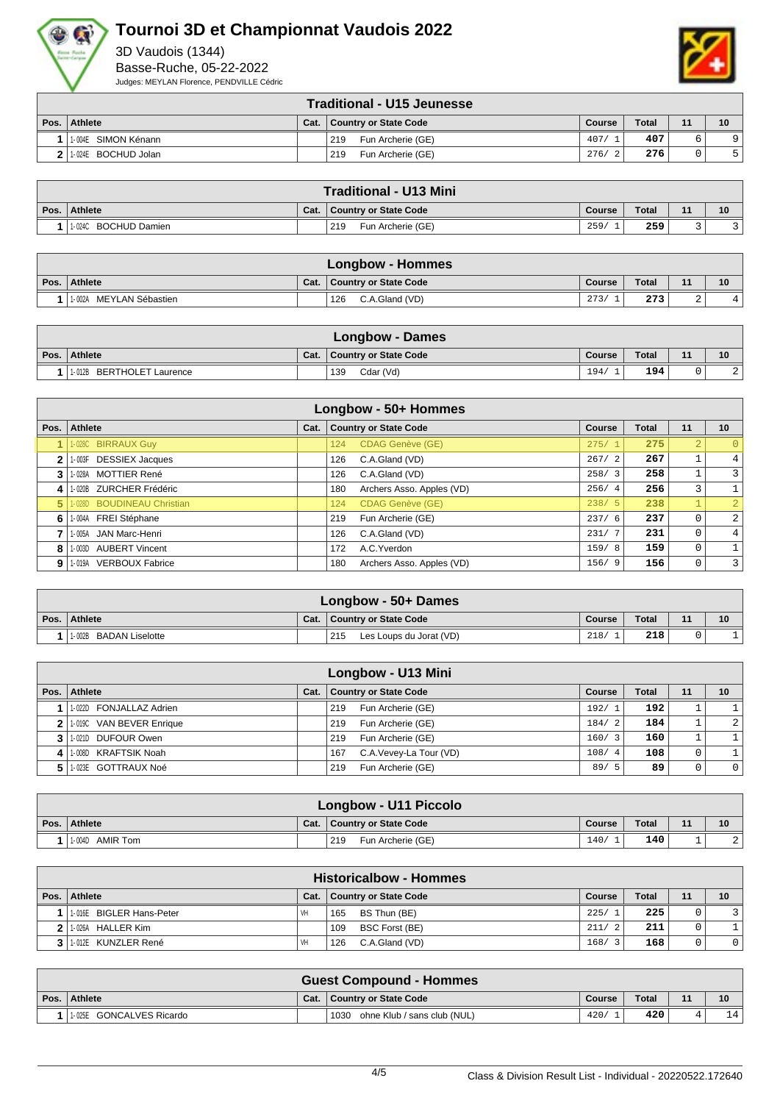



|      | <b>Traditional - U15 Jeunesse</b> |      |                          |        |              |    |                 |  |  |  |
|------|-----------------------------------|------|--------------------------|--------|--------------|----|-----------------|--|--|--|
| Pos. | <b>Athlete</b>                    | Cat. | Country or State Code    | Course | <b>Total</b> | 11 | 10 <sup>1</sup> |  |  |  |
|      | 1004E SIMON Kénann                |      | 219<br>Fun Archerie (GE) | 407/   | 407          |    |                 |  |  |  |
|      | 2   1-024E BOCHUD Jolan           |      | 219<br>Fun Archerie (GE) | 276/   | 276          |    |                 |  |  |  |

|      | <b>Traditional - U13 Mini</b> |      |                          |        |              |    |    |  |  |  |
|------|-------------------------------|------|--------------------------|--------|--------------|----|----|--|--|--|
| Pos. | Athlete                       | Cat. | Country or State Code    | Course | <b>Total</b> | 11 | 10 |  |  |  |
|      | 1-024C BOCHUD Damien          |      | 219<br>Fun Archerie (GE) | 259/   | 259          |    |    |  |  |  |

| Longbow - Hommes                     |      |                       |        |              |    |    |  |  |  |
|--------------------------------------|------|-----------------------|--------|--------------|----|----|--|--|--|
| Pos. Athlete                         | Cat. | Country or State Code | Course | <b>Total</b> | 11 | 10 |  |  |  |
| <sup>1</sup> 1-002A MEYLAN Sébastien |      | C.A.Gland (VD)<br>126 | 273/   | 273          | ∠  | 4  |  |  |  |

| Longbow - Dames           |  |                              |        |       |    |             |  |  |  |
|---------------------------|--|------------------------------|--------|-------|----|-------------|--|--|--|
| Pos. Athlete              |  | Cat.   Country or State Code | Course | Total | 11 | 10          |  |  |  |
| 1-012B BERTHOLET Laurence |  | Cdar (Vd)<br>139             | 194/   | 194   |    | $\cap$<br>▵ |  |  |  |

|              | Longbow - 50+ Hommes       |      |                                  |        |              |    |                |  |  |  |  |  |
|--------------|----------------------------|------|----------------------------------|--------|--------------|----|----------------|--|--|--|--|--|
| Pos.         | Athlete                    | Cat. | <b>Country or State Code</b>     | Course | <b>Total</b> | 11 | 10             |  |  |  |  |  |
|              | 1-028C BIRRAUX Guy         |      | <b>CDAG Genève (GE)</b><br>124   | 275/   | 275          |    | $\Omega$       |  |  |  |  |  |
| $\mathbf{2}$ | 1-003F DESSIEX Jacques     |      | C.A.Gland (VD)<br>126            | 267/2  | 267          |    | 4              |  |  |  |  |  |
| 3            | 1-028A MOTTIER René        |      | C.A.Gland (VD)<br>126            | 258/3  | 258          |    | $\overline{3}$ |  |  |  |  |  |
| 4            | 1-020B ZURCHER Frédéric    |      | Archers Asso. Apples (VD)<br>180 | 256/4  | 256          | 3  |                |  |  |  |  |  |
| 5            | 1-028D BOUDINEAU Christian |      | <b>CDAG Genève (GE)</b><br>124   | 238/5  | 238          |    |                |  |  |  |  |  |
| 6            | 1-004A FREI Stéphane       |      | 219<br>Fun Archerie (GE)         | 237/6  | 237          |    | 2 <sup>1</sup> |  |  |  |  |  |
|              | 1-005A JAN Marc-Henri      |      | C.A.Gland (VD)<br>126            | 231/7  | 231          | 0  | 4              |  |  |  |  |  |
| 8            | 1-003D AUBERT Vincent      |      | A.C. Yverdon<br>172              | 159/8  | 159          | 0  |                |  |  |  |  |  |
| 9            | 1-019A VERBOUX Fabrice     |      | Archers Asso. Apples (VD)<br>180 | 156/9  | 156          | 0  | $\overline{3}$ |  |  |  |  |  |

|      | Longbow - 50+ Dames              |      |                                |        |              |    |    |  |  |  |
|------|----------------------------------|------|--------------------------------|--------|--------------|----|----|--|--|--|
| Pos. | Athlete                          | Cat. | Country or State Code          | Course | <b>Total</b> | 11 | 10 |  |  |  |
|      | <b>BADAN Liselotte</b><br>1-002B |      | 215<br>Les Loups du Jorat (VD) | 218/   | 218          |    |    |  |  |  |

|   |                          |      | <b>Longbow - U13 Mini</b>     |               |              |    |                |
|---|--------------------------|------|-------------------------------|---------------|--------------|----|----------------|
|   | Pos. Athlete             | Cat. | <b>Country or State Code</b>  | <b>Course</b> | <b>Total</b> | 11 | 10             |
|   | 1-022D FONJALLAZ Adrien  |      | Fun Archerie (GE)<br>219      | 192/1         | 192          |    |                |
|   | 1.019C VAN BEVER Enrique |      | Fun Archerie (GE)<br>219      | 184/2         | 184          |    | 2 <sup>1</sup> |
|   | 3 1 1 0210 DUFOUR Owen   |      | Fun Archerie (GE)<br>219      | 160/3         | 160          |    |                |
| 4 | 1-008D KRAFTSIK Noah     |      | C.A.Vevey-La Tour (VD)<br>167 | 108/4         | 108          |    |                |
|   | 1-023E GOTTRAUX Noé      |      | Fun Archerie (GE)<br>219      | 89/<br>- 5    | 89           |    | 0 <sup>1</sup> |

| Longbow - U11 Piccolo |  |                              |        |       |    |    |  |  |  |  |
|-----------------------|--|------------------------------|--------|-------|----|----|--|--|--|--|
| Pos. Athlete          |  | Cat.   Country or State Code | Course | Total | 11 | 10 |  |  |  |  |
| 1.004D AMIR Tom       |  | 219<br>Fun Archerie (GE)     | 140/   | 140   |    |    |  |  |  |  |

| <b>Historicalbow - Hommes</b> |      |                              |        |              |    |                |  |  |  |  |  |
|-------------------------------|------|------------------------------|--------|--------------|----|----------------|--|--|--|--|--|
| Pos. Athlete                  | Cat. | <b>Country or State Code</b> | Course | <b>Total</b> | 11 | 10             |  |  |  |  |  |
| 1-016E BIGLER Hans-Peter      | VH   | BS Thun (BE)<br>165          | 225/   | 225          |    |                |  |  |  |  |  |
| 1-026A HALLER Kim             |      | <b>BSC Forst (BE)</b><br>109 | 211/2  | 211          |    |                |  |  |  |  |  |
| 1-012E KUNZLER René           | VH   | C.A.Gland (VD)<br>126        | 168/   | 168          |    | 0 <sup>1</sup> |  |  |  |  |  |

| <b>Guest Compound - Hommes</b> |  |                                     |        |              |    |    |  |  |  |  |
|--------------------------------|--|-------------------------------------|--------|--------------|----|----|--|--|--|--|
| Pos. Athlete                   |  | Cat.   Country or State Code        | Course | <b>Total</b> | 11 | 10 |  |  |  |  |
| 1-025E GONCALVES Ricardo       |  | ohne Klub / sans club (NUL)<br>1030 | 420/   | 420          |    |    |  |  |  |  |